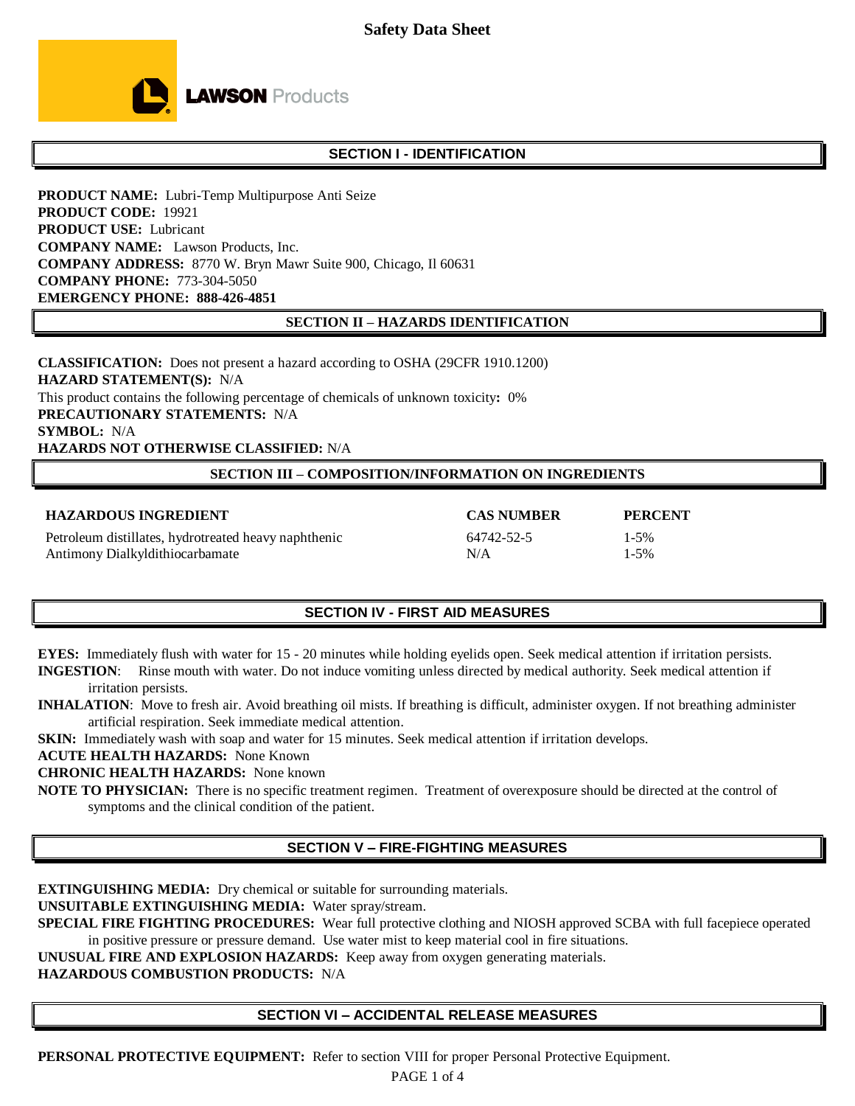

# **SECTION I - IDENTIFICATION**

**PRODUCT NAME:** Lubri-Temp Multipurpose Anti Seize **PRODUCT CODE:** 19921 **PRODUCT USE:** Lubricant **COMPANY NAME:** Lawson Products, Inc. **COMPANY ADDRESS:** 8770 W. Bryn Mawr Suite 900, Chicago, Il 60631 **COMPANY PHONE:** 773-304-5050 **EMERGENCY PHONE: 888-426-4851** 

#### **SECTION II – HAZARDS IDENTIFICATION**

**CLASSIFICATION:** Does not present a hazard according to OSHA (29CFR 1910.1200) **HAZARD STATEMENT(S):** N/A This product contains the following percentage of chemicals of unknown toxicity**:** 0% **PRECAUTIONARY STATEMENTS:** N/A **SYMBOL:** N/A **HAZARDS NOT OTHERWISE CLASSIFIED:** N/A

#### **SECTION III – COMPOSITION/INFORMATION ON INGREDIENTS**

| <b>HAZARDOUS INGREDIENT</b>                          | <b>CAS NUMBER</b> | <b>PERCENT</b> |
|------------------------------------------------------|-------------------|----------------|
| Petroleum distillates, hydrotreated heavy naphthenic | 64742-52-5        | $1 - 5\%$      |
| Antimony Dialkyldithiocarbamate                      | N/A               | $1 - 5\%$      |

# **SECTION IV - FIRST AID MEASURES**

**EYES:** Immediately flush with water for 15 - 20 minutes while holding eyelids open. Seek medical attention if irritation persists.

**INGESTION**: Rinse mouth with water. Do not induce vomiting unless directed by medical authority. Seek medical attention if irritation persists.

**INHALATION**:Move to fresh air. Avoid breathing oil mists. If breathing is difficult, administer oxygen. If not breathing administer artificial respiration. Seek immediate medical attention.

**SKIN:** Immediately wash with soap and water for 15 minutes. Seek medical attention if irritation develops.

**ACUTE HEALTH HAZARDS:** None Known

**CHRONIC HEALTH HAZARDS:** None known

**NOTE TO PHYSICIAN:** There is no specific treatment regimen. Treatment of overexposure should be directed at the control of symptoms and the clinical condition of the patient.

# **SECTION V – FIRE-FIGHTING MEASURES**

**EXTINGUISHING MEDIA:** Dry chemical or suitable for surrounding materials.

**UNSUITABLE EXTINGUISHING MEDIA:** Water spray/stream.

**SPECIAL FIRE FIGHTING PROCEDURES:** Wear full protective clothing and NIOSH approved SCBA with full facepiece operated in positive pressure or pressure demand. Use water mist to keep material cool in fire situations.

**UNUSUAL FIRE AND EXPLOSION HAZARDS:** Keep away from oxygen generating materials.

**HAZARDOUS COMBUSTION PRODUCTS:** N/A

# **SECTION VI – ACCIDENTAL RELEASE MEASURES**

**PERSONAL PROTECTIVE EQUIPMENT:** Refer to section VIII for proper Personal Protective Equipment.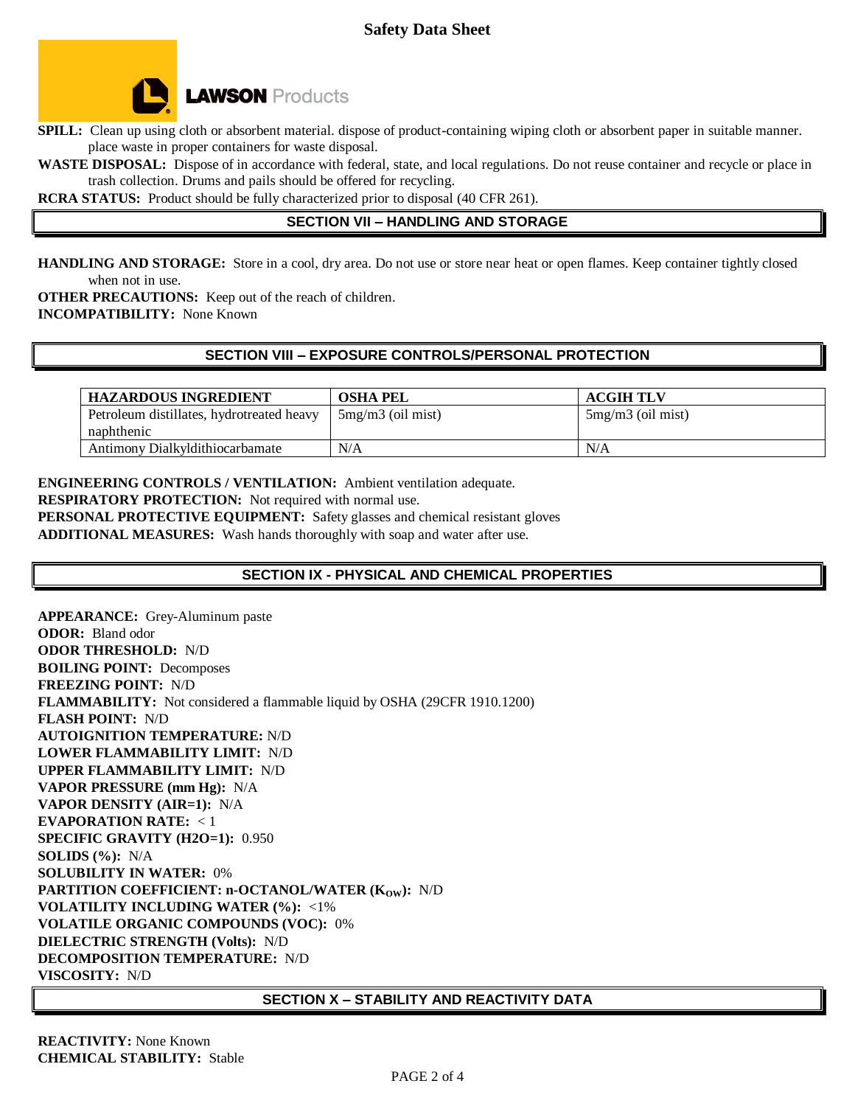

**SPILL:** Clean up using cloth or absorbent material. dispose of product-containing wiping cloth or absorbent paper in suitable manner. place waste in proper containers for waste disposal.

**WASTE DISPOSAL:** Dispose of in accordance with federal, state, and local regulations. Do not reuse container and recycle or place in trash collection. Drums and pails should be offered for recycling.

**RCRA STATUS:** Product should be fully characterized prior to disposal (40 CFR 261).

# **SECTION VII – HANDLING AND STORAGE**

**HANDLING AND STORAGE:** Store in a cool, dry area. Do not use or store near heat or open flames. Keep container tightly closed when not in use.

**OTHER PRECAUTIONS:** Keep out of the reach of children. **INCOMPATIBILITY:** None Known

### **SECTION VIII – EXPOSURE CONTROLS/PERSONAL PROTECTION**

| <b>HAZARDOUS INGREDIENT</b>               | <b>OSHA PEL</b>     | <b>ACGIH TLV</b>    |
|-------------------------------------------|---------------------|---------------------|
| Petroleum distillates, hydrotreated heavy | $5mg/m3$ (oil mist) | $5mg/m3$ (oil mist) |
| naphthenic                                |                     |                     |
| Antimony Dialkyldithiocarbamate           | N/A                 | N/A                 |

#### **ENGINEERING CONTROLS / VENTILATION:** Ambient ventilation adequate.

**RESPIRATORY PROTECTION:** Not required with normal use.

**PERSONAL PROTECTIVE EQUIPMENT:** Safety glasses and chemical resistant gloves

**ADDITIONAL MEASURES:** Wash hands thoroughly with soap and water after use.

# **SECTION IX - PHYSICAL AND CHEMICAL PROPERTIES**

**APPEARANCE:** Grey-Aluminum paste **ODOR:** Bland odor **ODOR THRESHOLD:** N/D **BOILING POINT:** Decomposes **FREEZING POINT:** N/D **FLAMMABILITY:** Not considered a flammable liquid by OSHA (29CFR 1910.1200) **FLASH POINT:** N/D **AUTOIGNITION TEMPERATURE:** N/D **LOWER FLAMMABILITY LIMIT:** N/D **UPPER FLAMMABILITY LIMIT:** N/D **VAPOR PRESSURE (mm Hg):** N/A **VAPOR DENSITY (AIR=1):** N/A **EVAPORATION RATE:** < 1 **SPECIFIC GRAVITY (H2O=1):** 0.950 **SOLIDS (%):** N/A **SOLUBILITY IN WATER:** 0% **PARTITION COEFFICIENT: n-OCTANOL/WATER (K<sub>OW</sub>): N/D VOLATILITY INCLUDING WATER (%):** <1% **VOLATILE ORGANIC COMPOUNDS (VOC):** 0% **DIELECTRIC STRENGTH (Volts):** N/D **DECOMPOSITION TEMPERATURE:** N/D **VISCOSITY:** N/D

### **SECTION X – STABILITY AND REACTIVITY DATA**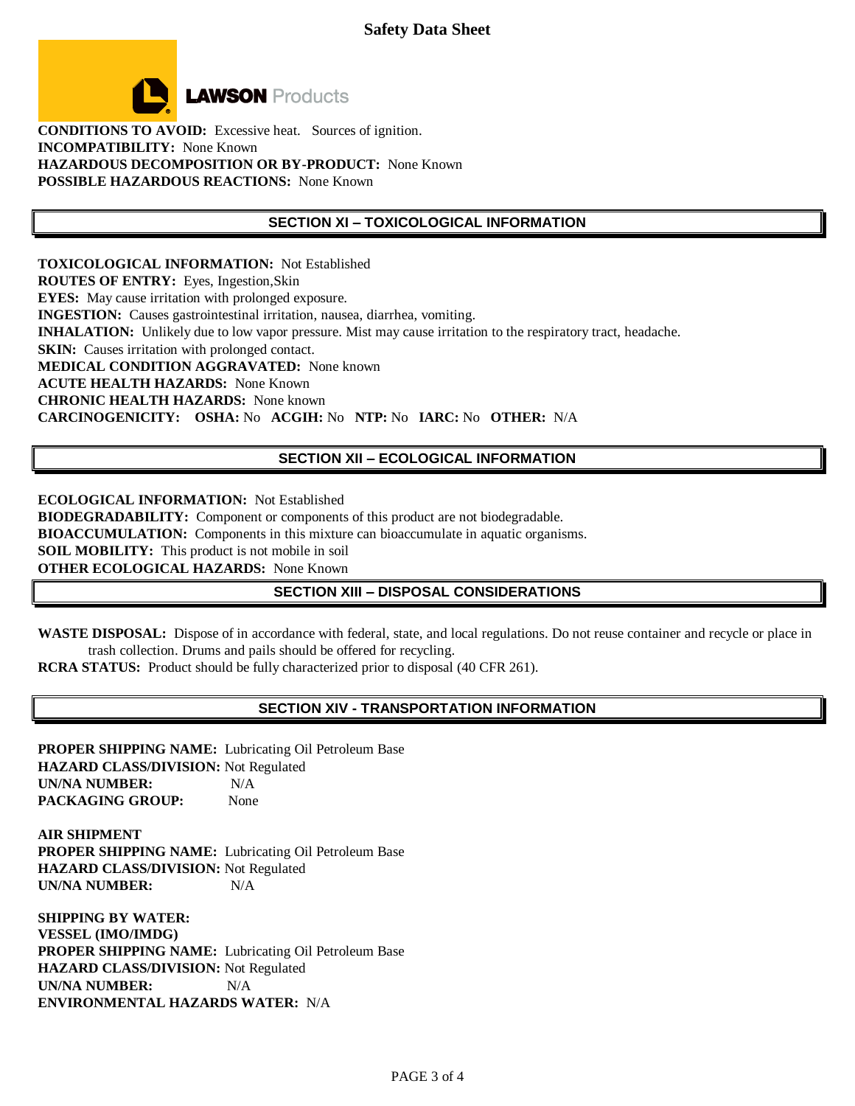

**CONDITIONS TO AVOID:** Excessive heat. Sources of ignition. **INCOMPATIBILITY:** None Known **HAZARDOUS DECOMPOSITION OR BY-PRODUCT:** None Known **POSSIBLE HAZARDOUS REACTIONS:** None Known

### **SECTION XI – TOXICOLOGICAL INFORMATION**

**TOXICOLOGICAL INFORMATION:** Not Established **ROUTES OF ENTRY:** Eyes, Ingestion,Skin **EYES:** May cause irritation with prolonged exposure. **INGESTION:** Causes gastrointestinal irritation, nausea, diarrhea, vomiting. **INHALATION:** Unlikely due to low vapor pressure. Mist may cause irritation to the respiratory tract, headache. **SKIN:** Causes irritation with prolonged contact. **MEDICAL CONDITION AGGRAVATED:** None known **ACUTE HEALTH HAZARDS:** None Known **CHRONIC HEALTH HAZARDS:** None known **CARCINOGENICITY: OSHA:** No **ACGIH:** No **NTP:** No **IARC:** No **OTHER:** N/A

### **SECTION XII – ECOLOGICAL INFORMATION**

**ECOLOGICAL INFORMATION:** Not Established **BIODEGRADABILITY:** Component or components of this product are not biodegradable. **BIOACCUMULATION:** Components in this mixture can bioaccumulate in aquatic organisms. **SOIL MOBILITY:** This product is not mobile in soil **OTHER ECOLOGICAL HAZARDS:** None Known

### **SECTION XIII – DISPOSAL CONSIDERATIONS**

**WASTE DISPOSAL:** Dispose of in accordance with federal, state, and local regulations. Do not reuse container and recycle or place in trash collection. Drums and pails should be offered for recycling.

**RCRA STATUS:** Product should be fully characterized prior to disposal (40 CFR 261).

#### **SECTION XIV - TRANSPORTATION INFORMATION**

**PROPER SHIPPING NAME:** Lubricating Oil Petroleum Base **HAZARD CLASS/DIVISION:** Not Regulated **UN/NA NUMBER:** N/A **PACKAGING GROUP:** None

**AIR SHIPMENT PROPER SHIPPING NAME:** Lubricating Oil Petroleum Base **HAZARD CLASS/DIVISION:** Not Regulated **UN/NA NUMBER:** N/A

**SHIPPING BY WATER: VESSEL (IMO/IMDG) PROPER SHIPPING NAME:** Lubricating Oil Petroleum Base **HAZARD CLASS/DIVISION:** Not Regulated **UN/NA NUMBER:** N/A **ENVIRONMENTAL HAZARDS WATER:** N/A